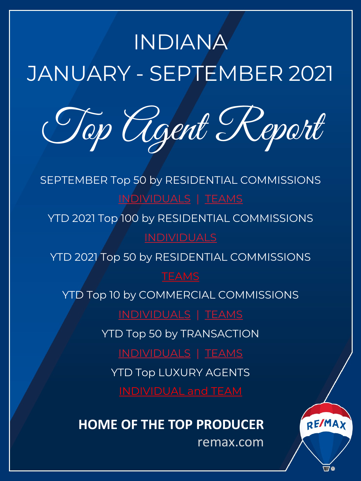# <span id="page-0-0"></span>INDIANA JANUARY - SEPTEMBER 2021

Top [Agen](#page-1-0)t [R](#page-3-0)eport

SEPTEMBER Top 50 by RESIDENTIAL COMMISSIONS INDI[VIDUALS](#page-5-0) | TEAMS

YTD 2021 Top 100 by RESIDENTIAL COMMISSIONS

YTD 2021 To[p 50 by RESIDE](#page-11-0)N[TIAL CO](#page-12-0)MMISSIONS

## **TEAMS**

YTD Top 10 by COMMERCIAL COMMISSIONS

[INDIVIDUALS](#page-13-0) | [TEAMS](#page-15-0)

YT[D Top 50 by TRANSACTIO](#page-17-0)N

INDIVIDUALS | TEAMS

YTD Top LUXURY AGENTS

## **HOME OF THE TOP PRODUCER**

remax.com

REMAX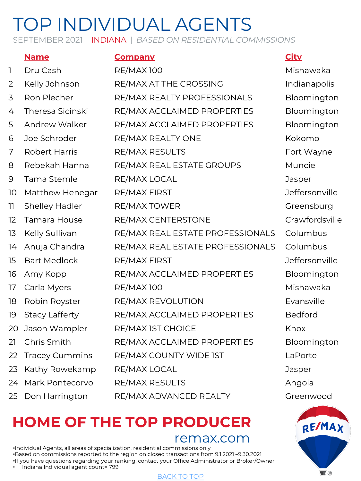SEPTEMBER 2021 | INDIANA | *BASED ON RESIDENTIAL COMMISSIONS*

#### **Name Company City**

# 1 Dru Cash RE/MAX 100 Nishawaka 24 Mark Pontecorvo RE/MAX RESULTS Angola

2 Kelly Johnson RE/MAX AT THE CROSSING Indianapolis 3 Ron Plecher RE/MAX REALTY PROFESSIONALS Bloomington 4 Theresa Sicinski RE/MAX ACCLAIMED PROPERTIES Bloomington 5 Andrew Walker RE/MAX ACCLAIMED PROPERTIES Bloomington 6 Joe Schroder RE/MAX REALTY ONE The Kokomo 7 Robert Harris RE/MAX RESULTS Fort Wayne 8 Rebekah Hanna RE/MAX REAL ESTATE GROUPS Muncie 9 Tama Stemle RE/MAX LOCAL Jasper 10 Matthew Henegar RE/MAX FIRST No. 10 Matthew Henegar RE/MAX FIRST 11 Shelley Hadler RE/MAX TOWER Greensburg 12 Tamara House RE/MAX CENTERSTONE Crawfordsville 13 Kelly Sullivan RE/MAX REAL ESTATE PROFESSIONALS Columbus 14 Anuja Chandra RE/MAX REAL ESTATE PROFESSIONALS Columbus 15 Bart Medlock RE/MAX FIRST Jeffersonville 16 Amy Kopp RE/MAX ACCLAIMED PROPERTIES Bloomington 17 Carla Myers RE/MAX 100 Mishawaka 18 Robin Royster RE/MAX REVOLUTION Evansville 19 Stacy Lafferty RE/MAX ACCLAIMED PROPERTIES Bedford 20 Jason Wampler RE/MAX 1ST CHOICE Research Research Research Research Research R 21 Chris Smith RE/MAX ACCLAIMED PROPERTIES Bloomington 22 Tracey Cummins RE/MAX COUNTY WIDE IST LaPorte 23 Kathy Rowekamp RE/MAX LOCAL **Canada Access 12** Jasper

25 Don Harrington RE/MAX ADVANCED REALTY Greenwood

# **HOME OF THE TO[P PROD](#page-0-0)UCER**

remax.com

•Individual Agents, all areas of specialization, residential commissions only •Based on commissions reported to the region on closed transactions from 9.1.2021 –9.30.2021 •If you have questions regarding your ranking, contact your Office Administrator or Broker/Owner • Indiana Individual agent count= 799

<span id="page-1-0"></span>

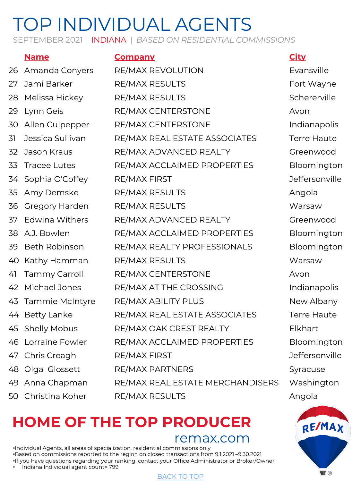SEPTEMBER 2021 | INDIANA | *BASED ON RESIDENTIAL COMMISSIONS*

## **Name Company City**

26 Amanda Conyers RE/MAX REVOLUTION Evansville 27 Jami Barker RE/MAX RESULTS Fort Wayne 28 Melissa Hickey RE/MAX RESULTS Schererville 29 Lynn Geis RE/MAX CENTERSTONE Avon 30 Allen Culpepper RE/MAX CENTERSTONE Indianapolis 31 Jessica Sullivan RE/MAX REAL ESTATE ASSOCIATES Terre Haute 32 Jason Kraus RE/MAX ADVANCED REALTY Greenwood 33 Tracee Lutes RE/MAX ACCLAIMED PROPERTIES Bloomington 34 Sophia O'Coffey RE/MAX FIRST New York of The Jeffersonville 35 Amy Demske RE/MAX RESULTS Angola 36 Gregory Harden RE/MAX RESULTS Warsaw 37 Edwina Withers RE/MAX ADVANCED REALTY Greenwood 38 A.J. Bowlen RE/MAX ACCLAIMED PROPERTIES Bloomington 39 Beth Robinson RE/MAX REALTY PROFESSIONALS Bloomington 40 Kathy Hamman RE/MAX RESULTS Warsaw 41 Tammy Carroll RE/MAX CENTERSTONE Avon 42 Michael Jones RE/MAX AT THE CROSSING THE Indianapolis 43 Tammie McIntyre RE/MAX ABILITY PLUS New Albany 44 Betty Lanke RE/MAX REAL ESTATE ASSOCIATES Terre Haute 45 Shelly Mobus RE/MAX OAK CREST REALTY Elkhart 46 Lorraine Fowler RE/MAX ACCLAIMED PROPERTIES Bloomington 47 Chris Creagh RE/MAX FIRST Jeffersonville 48 Olga Glossett RE/MAX PARTNERS Syracuse 49 Anna Chapman RE/MAX REAL ESTATE MERCHANDISERS Washington 50 Christina Koher RE/MAX RESULTS Angola

# **HOME OF THE TO[P PROD](#page-0-0)UCER**

remax.com

•Individual Agents, all areas of specialization, residential commissions only •Based on commissions reported to the region on closed transactions from 9.1.2021 –9.30.2021 •If you have questions regarding your ranking, contact your Office Administrator or Broker/Owner • Indiana Individual agent count= 799





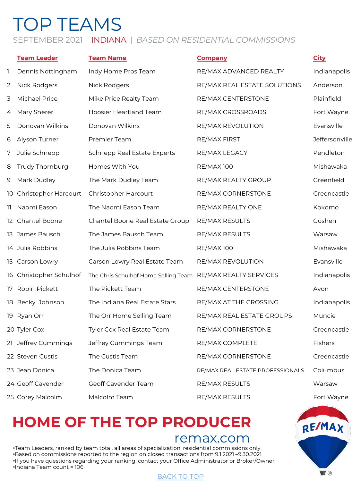# <span id="page-3-0"></span>TOP TEAMS

#### SEPTEMBER 2021 | INDIANA | *BASED ON RESIDENTIAL COMMISSIONS*

|   | <b>Team Leader</b>      | <b>Team Name</b>                                            | <b>Company</b>                   | <b>City</b>    |
|---|-------------------------|-------------------------------------------------------------|----------------------------------|----------------|
| 1 | Dennis Nottingham       | Indy Home Pros Team                                         | RE/MAX ADVANCED REALTY           | Indianapolis   |
| 2 | <b>Nick Rodgers</b>     | Nick Rodgers                                                | RE/MAX REAL ESTATE SOLUTIONS     | Anderson       |
| 3 | <b>Michael Price</b>    | Mike Price Realty Team                                      | RE/MAX CENTERSTONE               | Plainfield     |
| 4 | Mary Sherer             | Hoosier Heartland Team                                      | RE/MAX CROSSROADS                | Fort Wayne     |
| 5 | Donovan Wilkins         | Donovan Wilkins                                             | RE/MAX REVOLUTION                | Evansville     |
| 6 | Alyson Turner           | Premier Team                                                | RE/MAX FIRST                     | Jeffersonville |
| 7 | Julie Schnepp           | Schnepp Real Estate Experts                                 | RE/MAX LEGACY                    | Pendleton      |
| 8 | Trudy Thornburg         | Homes With You                                              | <b>RE/MAX100</b>                 | Mishawaka      |
| 9 | Mark Dudley             | The Mark Dudley Team                                        | RE/MAX REALTY GROUP              | Greenfield     |
|   | 10 Christopher Harcourt | Christopher Harcourt                                        | RE/MAX CORNERSTONE               | Greencastle    |
|   | 11 Naomi Eason          | The Naomi Eason Team                                        | RE/MAX REALTY ONE                | Kokomo         |
|   | 12 Chantel Boone        | Chantel Boone Real Estate Group                             | RE/MAX RESULTS                   | Goshen         |
|   | 13 James Bausch         | The James Bausch Team                                       | RE/MAX RESULTS                   | Warsaw         |
|   | 14 Julia Robbins        | The Julia Robbins Team                                      | <b>RE/MAX100</b>                 | Mishawaka      |
|   | 15 Carson Lowry         | Carson Lowry Real Estate Team                               | RE/MAX REVOLUTION                | Evansville     |
|   | 16 Christopher Schulhof | The Chris Schulhof Home Selling Team RE/MAX REALTY SERVICES |                                  | Indianapolis   |
|   | 17 Robin Pickett        | The Pickett Team                                            | RE/MAX CENTERSTONE               | Avon           |
|   | 18 Becky Johnson        | The Indiana Real Estate Stars                               | RE/MAX AT THE CROSSING           | Indianapolis   |
|   | 19 Ryan Orr             | The Orr Home Selling Team                                   | RE/MAX REAL ESTATE GROUPS        | Muncie         |
|   | 20 Tyler Cox            | Tyler Cox Real Estate Team                                  | RE/MAX CORNERSTONE               | Greencastle    |
|   | 21 Jeffrey Cummings     | Jeffrey Cummings Team                                       | RE/MAX COMPLETE                  | Fishers        |
|   | 22 Steven Custis        | The Custis Team                                             | RE/MAX CORNERSTONE               | Greencastle    |
|   | 23 Jean Donica          | The Donica Team                                             | RE/MAX REAL ESTATE PROFESSIONALS | Columbus       |
|   | 24 Geoff Cavender       | Geoff Cavender Team                                         | RE/MAX RESULTS                   | Warsaw         |
|   | 25 Corey Malcolm        | Malcolm Team                                                | RE/MAX RESULTS                   | Fort Wayne     |

## **HOME OF THE TO[P PROD](#page-0-0)UCER**

## remax.com

•Team Leaders, ranked by team total, all areas of specialization, residential commissions only. •Based on commissions reported to the region on closed transactions from 9.1.2021 –9.30.2021 •If you have questions regarding your ranking, contact your Office Administrator or Broker/Owner •Indiana Team count = 106

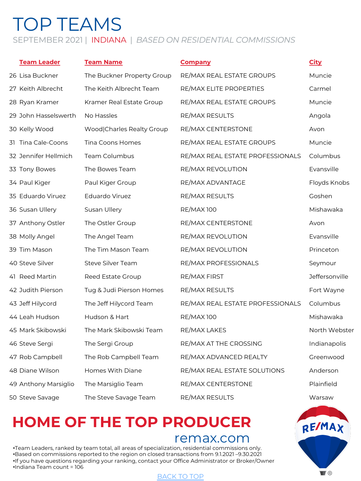# TOP TEAMS

#### SEPTEMBER 2021 | INDIANA | *BASED ON RESIDENTIAL COMMISSIONS*

| <b>Team Leader</b>   | <b>Team Name</b>           | <b>Company</b>                   | <b>City</b>    |
|----------------------|----------------------------|----------------------------------|----------------|
| 26 Lisa Buckner      | The Buckner Property Group | RE/MAX REAL ESTATE GROUPS        | Muncie         |
| 27 Keith Albrecht    | The Keith Albrecht Team    | RE/MAX ELITE PROPERTIES          | Carmel         |
| 28 Ryan Kramer       | Kramer Real Estate Group   | RE/MAX REAL ESTATE GROUPS        | Muncie         |
| 29 John Hasselswerth | No Hassles                 | <b>RE/MAX RESULTS</b>            | Angola         |
| 30 Kelly Wood        | Wood Charles Realty Group  | RE/MAX CENTERSTONE               | Avon           |
| 31 Tina Cale-Coons   | Tina Coons Homes           | RE/MAX REAL ESTATE GROUPS        | Muncie         |
| 32 Jennifer Hellmich | Team Columbus              | RE/MAX REAL ESTATE PROFESSIONALS | Columbus       |
| 33 Tony Bowes        | The Bowes Team             | RE/MAX REVOLUTION                | Evansville     |
| 34 Paul Kiger        | Paul Kiger Group           | RE/MAX ADVANTAGE                 | Floyds Knobs   |
| 35 Eduardo Viruez    | Eduardo Viruez             | RE/MAX RESULTS                   | Goshen         |
| 36 Susan Ullery      | Susan Ullery               | <b>RE/MAX 100</b>                | Mishawaka      |
| 37 Anthony Ostler    | The Ostler Group           | RE/MAX CENTERSTONE               | Avon           |
| 38 Molly Angel       | The Angel Team             | RE/MAX REVOLUTION                | Evansville     |
| 39 Tim Mason         | The Tim Mason Team         | RE/MAX REVOLUTION                | Princeton      |
| 40 Steve Silver      | Steve Silver Team          | RE/MAX PROFESSIONALS             | Seymour        |
| 41 Reed Martin       | Reed Estate Group          | RE/MAX FIRST                     | Jeffersonville |
| 42 Judith Pierson    | Tug & Judi Pierson Homes   | RE/MAX RESULTS                   | Fort Wayne     |
| 43 Jeff Hilycord     | The Jeff Hilycord Team     | RE/MAX REAL ESTATE PROFESSIONALS | Columbus       |
| 44 Leah Hudson       | Hudson & Hart              | <b>RE/MAX 100</b>                | Mishawaka      |
| 45 Mark Skibowski    | The Mark Skibowski Team    | RE/MAX LAKES                     | North Webster  |
| 46 Steve Sergi       | The Sergi Group            | RE/MAX AT THE CROSSING           | Indianapolis   |
| 47 Rob Campbell      | The Rob Campbell Team      | RE/MAX ADVANCED REALTY           | Greenwood      |
| 48 Diane Wilson      | Homes With Diane           | RE/MAX REAL ESTATE SOLUTIONS     | Anderson       |
| 49 Anthony Marsiglio | The Marsiglio Team         | RE/MAX CENTERSTONE               | Plainfield     |
| 50 Steve Savage      | The Steve Savage Team      | RE/MAX RESULTS                   | Warsaw         |

## **HOME OF THE TO[P PROD](#page-0-0)UCER**

## remax.com

•Team Leaders, ranked by team total, all areas of specialization, residential commissions only. •Based on commissions reported to the region on closed transactions from 9.1.2021 –9.30.2021 •If you have questions regarding your ranking, contact your Office Administrator or Broker/Owner •Indiana Team count = 106

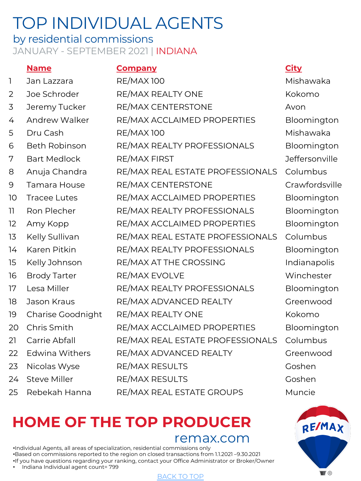## <span id="page-5-0"></span>by residential commissions JANUARY - SEPTEMBER 2021 | INDIANA

#### **Name Company City**

| 1  | Jan Lazzara           | <b>RE/MAX100</b>                 | Mishawaka     |
|----|-----------------------|----------------------------------|---------------|
| 2  | Joe Schroder          | RE/MAX REALTY ONE                | Kokomo        |
| 3  | Jeremy Tucker         | RE/MAX CENTERSTONE               | Avon          |
| 4  | <b>Andrew Walker</b>  | RE/MAX ACCLAIMED PROPERTIES      | Bloomingto    |
| 5  | Dru Cash              | <b>RE/MAX 100</b>                | Mishawaka     |
| 6  | <b>Beth Robinson</b>  | RE/MAX REALTY PROFESSIONALS      | Bloomingto    |
| 7  | <b>Bart Medlock</b>   | <b>RE/MAX FIRST</b>              | Jeffersonvill |
| 8  | Anuja Chandra         | RE/MAX REAL ESTATE PROFESSIONALS | Columbus      |
| 9  | Tamara House          | RE/MAX CENTERSTONE               | Crawfordsvi   |
| 10 | <b>Tracee Lutes</b>   | RE/MAX ACCLAIMED PROPERTIES      | Bloomingto    |
| 11 | Ron Plecher           | RE/MAX REALTY PROFESSIONALS      | Bloomingto    |
| 12 | Amy Kopp              | RE/MAX ACCLAIMED PROPERTIES      | Bloomingto    |
| 13 | Kelly Sullivan        | RE/MAX REAL ESTATE PROFESSIONALS | Columbus      |
| 14 | Karen Pitkin          | RE/MAX REALTY PROFESSIONALS      | Bloomingto    |
| 15 | Kelly Johnson         | RE/MAX AT THE CROSSING           | Indianapolis  |
| 16 | <b>Brody Tarter</b>   | RE/MAX EVOLVE                    | Winchester    |
| 17 | Lesa Miller           | RE/MAX REALTY PROFESSIONALS      | Bloomingto    |
| 18 | Jason Kraus           | RE/MAX ADVANCED REALTY           | Greenwood     |
| 19 | Charise Goodnight     | RE/MAX REALTY ONE                | Kokomo        |
| 20 | Chris Smith           | RE/MAX ACCLAIMED PROPERTIES      | Bloomingto    |
| 21 | Carrie Abfall         | RE/MAX REAL ESTATE PROFESSIONALS | Columbus      |
| 22 | <b>Edwina Withers</b> | RE/MAX ADVANCED REALTY           | Greenwood     |
| 23 | Nicolas Wyse          | RE/MAX RESULTS                   | Goshen        |
| 24 | <b>Steve Miller</b>   | <b>RE/MAX RESULTS</b>            | Goshen        |
| 25 | Rebekah Hanna         | RE/MAX REAL ESTATE GROUPS        | Muncie        |

ishawaka oomington oomington ffersonville awfordsville oomington oomington oomington oomington dianapolis oomington oomington

# **HOME OF THE TO[P PROD](#page-0-0)UCER**

remax.com

•Individual Agents, all areas of specialization, residential commissions only •Based on commissions reported to the region on closed transactions from 1.1.2021 –9.30.2021 •If you have questions regarding your ranking, contact your Office Administrator or Broker/Owner • Indiana Individual agent count= 799

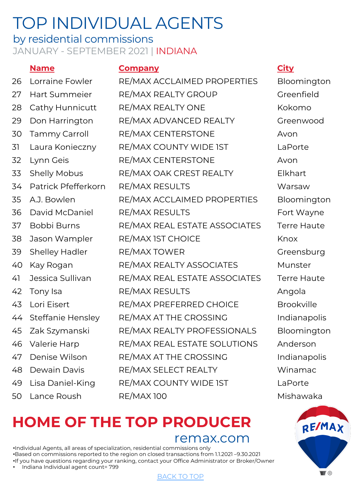#### by residential commissions JANUARY - SEPTEMBER 2021 | INDIANA

#### **Name Company City**

| 26 | Lorraine Fowler          | RE/MAX ACCLAIMED PROPERTIES   | Bloomington        |
|----|--------------------------|-------------------------------|--------------------|
| 27 | Hart Summeier            | RE/MAX REALTY GROUP           | Greenfield         |
| 28 | Cathy Hunnicutt          | RE/MAX REALTY ONE             | Kokomo             |
| 29 | Don Harrington           | RE/MAX ADVANCED REALTY        | Greenwood          |
| 30 | Tammy Carroll            | RE/MAX CENTERSTONE            | Avon               |
| 31 | Laura Konieczny          | RE/MAX COUNTY WIDE IST        | LaPorte            |
| 32 | Lynn Geis                | <b>RE/MAX CENTERSTONE</b>     | Avon               |
| 33 | <b>Shelly Mobus</b>      | RE/MAX OAK CREST REALTY       | Elkhart            |
| 34 | Patrick Pfefferkorn      | <b>RE/MAX RESULTS</b>         | Warsaw             |
| 35 | A.J. Bowlen              | RE/MAX ACCLAIMED PROPERTIES   | Bloomington        |
| 36 | David McDaniel           | <b>RE/MAX RESULTS</b>         | Fort Wayne         |
| 37 | Bobbi Burns              | RE/MAX REAL ESTATE ASSOCIATES | <b>Terre Haute</b> |
| 38 | Jason Wampler            | RE/MAX IST CHOICE             | Knox               |
| 39 | <b>Shelley Hadler</b>    | RE/MAX TOWER                  | Greensburg         |
| 40 | Kay Rogan                | RE/MAX REALTY ASSOCIATES      | Munster            |
| 41 | Jessica Sullivan         | RE/MAX REAL ESTATE ASSOCIATES | <b>Terre Haute</b> |
| 42 | Tony Isa                 | <b>RE/MAX RESULTS</b>         | Angola             |
| 43 | Lori Eisert              | RE/MAX PREFERRED CHOICE       | <b>Brookville</b>  |
| 44 | <b>Steffanie Hensley</b> | RE/MAX AT THE CROSSING        | Indianapolis       |
| 45 | Zak Szymanski            | RE/MAX REALTY PROFESSIONALS   | Bloomington        |
| 46 | Valerie Harp             | RE/MAX REAL ESTATE SOLUTIONS  | Anderson           |
| 47 | Denise Wilson            | RE/MAX AT THE CROSSING        | Indianapolis       |
| 48 | Dewain Davis             | RE/MAX SELECT REALTY          | Winamac            |
| 49 | Lisa Daniel-King         | RE/MAX COUNTY WIDE IST        | LaPorte            |
| 50 | Lance Roush              | <b>RE/MAX100</b>              | Mishawaka          |
|    |                          |                               |                    |

Greenfield Greenwood RTIES Bloomington Fort Wayne CIATES Terre Haute Greensburg CIATES Terre Haute E<sub>Brookville</sub> Indianapolis NALS Bloomington TIONS Anderson **Indianapolis** Wina mac



remax.com

•Individual Agents, all areas of specialization, residential commissions only •Based on commissions reported to the region on closed transactions from 1.1.2021 –9.30.2021 •If you have questions regarding your ranking, contact your Office Administrator or Broker/Owner • Indiana Individual agent count= 799

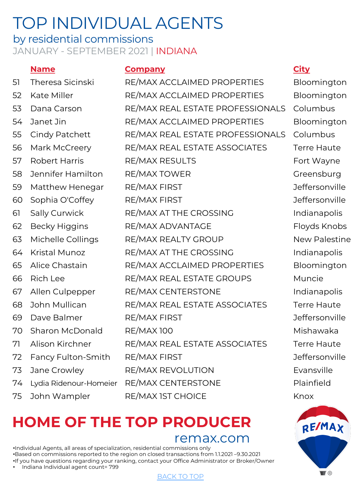## by residential commissions JANUARY - SEPTEMBER 2021 | INDIANA

#### **Name Company City**

| 51 | Theresa Sicinski       | RE/MAX ACCLAIMED PROPERTIES      | Bloomingto         |
|----|------------------------|----------------------------------|--------------------|
| 52 | Kate Miller            | RE/MAX ACCLAIMED PROPERTIES      | Bloomingto         |
| 53 | Dana Carson            | RE/MAX REAL ESTATE PROFESSIONALS | Columbus           |
| 54 | Janet Jin              | RE/MAX ACCLAIMED PROPERTIES      | Bloomingto         |
| 55 | Cindy Patchett         | RE/MAX REAL ESTATE PROFESSIONALS | Columbus           |
| 56 | Mark McCreery          | RE/MAX REAL ESTATE ASSOCIATES    | <b>Terre Haute</b> |
| 57 | <b>Robert Harris</b>   | <b>RE/MAX RESULTS</b>            | Fort Wayne         |
| 58 | Jennifer Hamilton      | RE/MAX TOWER                     | Greensburg         |
| 59 | Matthew Henegar        | <b>RE/MAX FIRST</b>              | Jeffersonvill      |
| 60 | Sophia O'Coffey        | <b>RE/MAX FIRST</b>              | Jeffersonvill      |
| 61 | Sally Curwick          | RE/MAX AT THE CROSSING           | Indianapolis       |
| 62 | <b>Becky Higgins</b>   | RE/MAX ADVANTAGE                 | Floyds Knok        |
| 63 | Michelle Collings      | RE/MAX REALTY GROUP              | <b>New Palesti</b> |
| 64 | Kristal Munoz          | RE/MAX AT THE CROSSING           | Indianapolis       |
| 65 | Alice Chastain         | RE/MAX ACCLAIMED PROPERTIES      | Bloomingto         |
| 66 | Rich Lee               | RE/MAX REAL ESTATE GROUPS        | Muncie             |
| 67 | Allen Culpepper        | RE/MAX CENTERSTONE               | Indianapolis       |
| 68 | John Mullican          | RE/MAX REAL ESTATE ASSOCIATES    | <b>Terre Haute</b> |
| 69 | Dave Balmer            | <b>RE/MAX FIRST</b>              | Jeffersonvill      |
| 70 | <b>Sharon McDonald</b> | <b>RE/MAX100</b>                 | Mishawaka          |
| 71 | Alison Kirchner        | RE/MAX REAL ESTATE ASSOCIATES    | <b>Terre Haute</b> |
| 72 | Fancy Fulton-Smith     | <b>RE/MAX FIRST</b>              | Jeffersonvill      |
| 73 | Jane Crowley           | RE/MAX REVOLUTION                | Evansville         |
| 74 | Lydia Ridenour-Homeier | RE/MAX CENTERSTONE               | Plainfield         |
| 75 | John Wampler           | RE/MAX IST CHOICE                | Knox               |
|    |                        |                                  |                    |

## **HOME OF THE TO[P PROD](#page-0-0)UCER**

remax.com

•Individual Agents, all areas of specialization, residential commissions only •Based on commissions reported to the region on closed transactions from 1.1.2021 –9.30.2021 •If you have questions regarding your ranking, contact your Office Administrator or Broker/Owner • Indiana Individual agent count= 799

loomington loomington loomington ort Wayne reensburg effersonville effersonville dianapolis loyds Knobs ew Palestine dianapolis loomington dianapolis effersonville effersonville

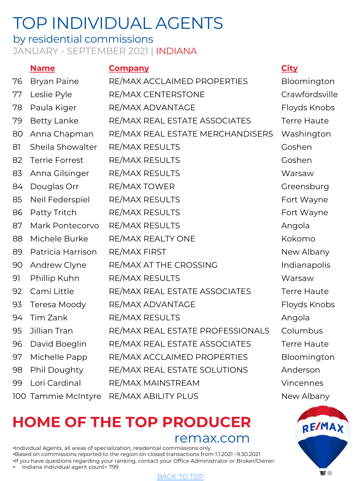## by residential commissions JANUARY - SEPTEMBER 2021 | INDIANA

## **Name Company City** 76 Bryan Paine RE/MAX ACCLAIMED PROPERTIES Bloomington 77 Leslie Pyle RE/MAX CENTERSTONE Crawfordsville

78 Paula Kiger RE/MAX ADVANTAGE Floyds Knobs 79 Betty Lanke RE/MAX REAL ESTATE ASSOCIATES Terre Haute 80 Anna Chapman RE/MAX REAL ESTATE MERCHANDISERS Washington 81 Sheila Showalter RE/MAX RESULTS Goshen 82 Terrie Forrest RE/MAX RESULTS Goshen 83 Anna Gilsinger RE/MAX RESULTS Warsaw 84 Douglas Orr RE/MAX TOWER Greensburg 85 Neil Federspiel RE/MAX RESULTS Fort Wayne 86 Patty Tritch RE/MAX RESULTS Fort Wayne 87 Mark Pontecorvo RE/MAX RESULTS Angola 88 Michele Burke RE/MAX REALTY ONE The Realty Research Research Realty Realty Realty Realty Realty Realty Realty 89 Patricia Harrison RE/MAX FIRST New Albany 90 Andrew Clyne RE/MAX AT THE CROSSING Indianapolis 91 Phillip Kuhn RE/MAX RESULTS Warsaw 92 Cami Little RE/MAX REAL ESTATE ASSOCIATES Terre Haute 93 Teresa Moody RE/MAX ADVANTAGE Floyds Knobs 94 Tim Zank RE/MAX RESULTS RESULTS 95 Jillian Tran RE/MAX REAL ESTATE PROFESSIONALS Columbus 96 David Boeglin RE/MAX REAL ESTATE ASSOCIATES Terre Haute 97 Michelle Papp RE/MAX ACCLAIMED PROPERTIES Bloomington 98 Phil Doughty RE/MAX REAL ESTATE SOLUTIONS Anderson 99 Lori Cardinal RE/MAX MAINSTREAM Vincennes 100 Tammie McIntyre RE/MAX ABILITY PLUS New Albany

# **HOME OF THE TO[P PROD](#page-0-0)UCER**

remax.com

•Individual Agents, all areas of specialization, residential commissions only •Based on commissions reported to the region on closed transactions from 1.1.2021 –9.30.2021 •If you have questions regarding your ranking, contact your Office Administrator or Broker/Owner • Indiana Individual agent count= 799

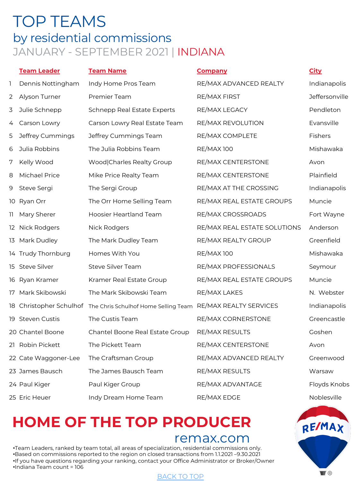## <span id="page-9-0"></span>TOP TEAMS by residential commissions JANUARY - SEPTEMBER 2021 | INDIANA

|    | <b>Team Leader</b>   | <b>Team Name</b>                                             | <b>Company</b>               | <b>City</b>    |
|----|----------------------|--------------------------------------------------------------|------------------------------|----------------|
| 1  | Dennis Nottingham    | Indy Home Pros Team                                          | RE/MAX ADVANCED REALTY       | Indianapolis   |
| 2  | Alyson Turner        | Premier Team                                                 | <b>RE/MAX FIRST</b>          | Jeffersonville |
| 3  | Julie Schnepp        | <b>Schnepp Real Estate Experts</b>                           | RE/MAX LEGACY                | Pendleton      |
| 4  | Carson Lowry         | Carson Lowry Real Estate Team                                | RE/MAX REVOLUTION            | Evansville     |
| 5  | Jeffrey Cummings     | Jeffrey Cummings Team                                        | RE/MAX COMPLETE              | Fishers        |
| 6  | Julia Robbins        | The Julia Robbins Team                                       | <b>RE/MAX100</b>             | Mishawaka      |
| 7  | Kelly Wood           | Wood Charles Realty Group                                    | RE/MAX CENTERSTONE           | Avon           |
| 8  | Michael Price        | Mike Price Realty Team                                       | RE/MAX CENTERSTONE           | Plainfield     |
| 9  | Steve Sergi          | The Sergi Group                                              | RE/MAX AT THE CROSSING       | Indianapolis   |
|    | 10 Ryan Orr          | The Orr Home Selling Team                                    | RE/MAX REAL ESTATE GROUPS    | Muncie         |
| וו | Mary Sherer          | <b>Hoosier Heartland Team</b>                                | RE/MAX CROSSROADS            | Fort Wayne     |
|    | 12 Nick Rodgers      | Nick Rodgers                                                 | RE/MAX REAL ESTATE SOLUTIONS | Anderson       |
|    | 13 Mark Dudley       | The Mark Dudley Team                                         | RE/MAX REALTY GROUP          | Greenfield     |
|    | 14 Trudy Thornburg   | Homes With You                                               | <b>RE/MAX100</b>             | Mishawaka      |
|    | 15 Steve Silver      | Steve Silver Team                                            | RE/MAX PROFESSIONALS         | Seymour        |
|    | 16 Ryan Kramer       | Kramer Real Estate Group                                     | RE/MAX REAL ESTATE GROUPS    | Muncie         |
|    | 17 Mark Skibowski    | The Mark Skibowski Team                                      | RE/MAX LAKES                 | N. Webster     |
|    |                      | 18 Christopher Schulhof The Chris Schulhof Home Selling Team | RE/MAX REALTY SERVICES       | Indianapolis   |
|    | 19 Steven Custis     | The Custis Team                                              | RE/MAX CORNERSTONE           | Greencastle    |
|    | 20 Chantel Boone     | Chantel Boone Real Estate Group                              | <b>RE/MAX RESULTS</b>        | Goshen         |
|    | 21 Robin Pickett     | The Pickett Team                                             | RE/MAX CENTERSTONE           | Avon           |
|    | 22 Cate Waggoner-Lee | The Craftsman Group                                          | RE/MAX ADVANCED REALTY       | Greenwood      |
|    | 23 James Bausch      | The James Bausch Team                                        | <b>RE/MAX RESULTS</b>        | Warsaw         |
|    | 24 Paul Kiger        | Paul Kiger Group                                             | RE/MAX ADVANTAGE             | Floyds Knobs   |
|    | 25 Eric Heuer        | Indy Dream Home Team                                         | RE/MAX EDGE                  | Noblesville    |

## **HOME OF THE TO[P PROD](#page-0-0)UCER**

## remax.com

**RE/MAX** 

 $\blacksquare$ 

•Team Leaders, ranked by team total, all areas of specialization, residential commissions only. •Based on commissions reported to the region on closed transactions from 1.1.2021 –9.30.2021 •If you have questions regarding your ranking, contact your Office Administrator or Broker/Owner •Indiana Team count = 106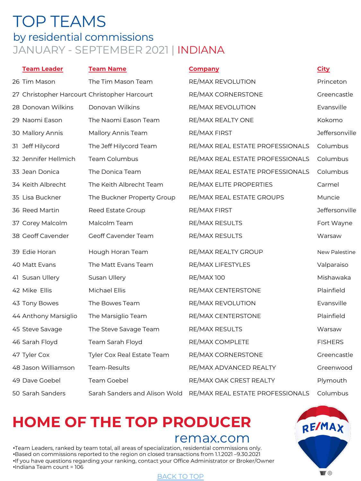## TOP TEAMS by residential commissions JANUARY - SEPTEMBER 2021 | INDIANA

| <b>Team Leader</b>   | <b>Team Name</b>                             | <b>Company</b>                   | <b>City</b>          |
|----------------------|----------------------------------------------|----------------------------------|----------------------|
| 26 Tim Mason         | The Tim Mason Team                           | RE/MAX REVOLUTION                | Princeton            |
|                      | 27 Christopher Harcourt Christopher Harcourt | RE/MAX CORNERSTONE               | Greencastle          |
| 28 Donovan Wilkins   | Donovan Wilkins                              | RE/MAX REVOLUTION                | Evansville           |
| 29 Naomi Eason       | The Naomi Eason Team                         | RE/MAX REALTY ONE                | Kokomo               |
| 30 Mallory Annis     | Mallory Annis Team                           | RE/MAX FIRST                     | Jeffersonville       |
| 31 Jeff Hilycord     | The Jeff Hilycord Team                       | RE/MAX REAL ESTATE PROFESSIONALS | Columbus             |
| 32 Jennifer Hellmich | Team Columbus                                | RE/MAX REAL ESTATE PROFESSIONALS | Columbus             |
| 33 Jean Donica       | The Donica Team                              | RE/MAX REAL ESTATE PROFESSIONALS | Columbus             |
| 34 Keith Albrecht    | The Keith Albrecht Team                      | RE/MAX ELITE PROPERTIES          | Carmel               |
| 35 Lisa Buckner      | The Buckner Property Group                   | RE/MAX REAL ESTATE GROUPS        | Muncie               |
| 36 Reed Martin       | Reed Estate Group                            | RE/MAX FIRST                     | Jeffersonville       |
| 37 Corey Malcolm     | Malcolm Team                                 | RE/MAX RESULTS                   | Fort Wayne           |
| 38 Geoff Cavender    | Geoff Cavender Team                          | RE/MAX RESULTS                   | Warsaw               |
| 39 Edie Horan        | Hough Horan Team                             | RE/MAX REALTY GROUP              | <b>New Palestine</b> |
| 40 Matt Evans        | The Matt Evans Team                          | RE/MAX LIFESTYLES                | Valparaiso           |
| 41 Susan Ullery      | Susan Ullery                                 | <b>RE/MAX100</b>                 | Mishawaka            |
| 42 Mike Ellis        | Michael Ellis                                | RE/MAX CENTERSTONE               | Plainfield           |
| 43 Tony Bowes        | The Bowes Team                               | RE/MAX REVOLUTION                | Evansville           |
| 44 Anthony Marsiglio | The Marsiglio Team                           | RE/MAX CENTERSTONE               | Plainfield           |
| 45 Steve Savage      | The Steve Savage Team                        | <b>RE/MAX RESULTS</b>            | Warsaw               |
| 46 Sarah Floyd       | Team Sarah Floyd                             | RE/MAX COMPLETE                  | <b>FISHERS</b>       |
| 47 Tyler Cox         | Tyler Cox Real Estate Team                   | RE/MAX CORNERSTONE               | Greencastle          |
| 48 Jason Williamson  | Team-Results                                 | RE/MAX ADVANCED REALTY           | Greenwood            |
| 49 Dave Goebel       | <b>Team Goebel</b>                           | RE/MAX OAK CREST REALTY          | Plymouth             |
| 50 Sarah Sanders     | Sarah Sanders and Alison Wold                | RE/MAX REAL ESTATE PROFESSIONALS | Columbus             |

## **HOME OF THE TO[P PROD](#page-0-0)UCER**

## remax.com

•Team Leaders, ranked by team total, all areas of specialization, residential commissions only. •Based on commissions reported to the region on closed transactions from 1.1.2021 –9.30.2021 •If you have questions regarding your ranking, contact your Office Administrator or Broker/Owner •Indiana Team count = 106

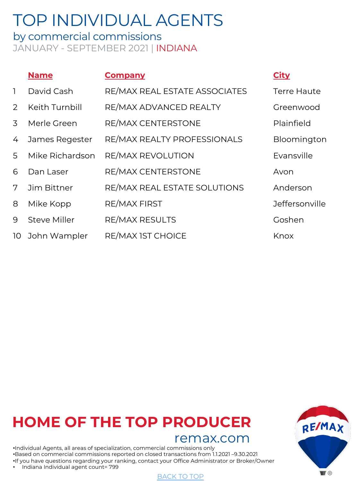<span id="page-11-0"></span>by commercial commissions JANUARY - SEPTEMBER 2021 | INDIANA

|                | <b>Name</b>         | <b>Company</b>                | <u>City</u>           |
|----------------|---------------------|-------------------------------|-----------------------|
| $\mathbf{1}$   | David Cash          | RE/MAX REAL ESTATE ASSOCIATES | <b>Terre Haute</b>    |
| $\overline{2}$ | Keith Turnbill      | RE/MAX ADVANCED REALTY        | Greenwood             |
| 3              | Merle Green         | RE/MAX CENTERSTONE            | Plainfield            |
| 4              | James Regester      | RE/MAX REALTY PROFESSIONALS   | Bloomington           |
| 5              | Mike Richardson     | <b>RE/MAX REVOLUTION</b>      | Evansville            |
| 6              | Dan Laser           | RE/MAX CENTERSTONE            | Avon                  |
| 7              | Jim Bittner         | RE/MAX REAL ESTATE SOLUTIONS  | Anderson              |
| 8              | Mike Kopp           | <b>RE/MAX FIRST</b>           | <b>Jeffersonville</b> |
| 9              | <b>Steve Miller</b> | <b>RE/MAX RESULTS</b>         | Goshen                |
| 10             | John Wampler        | RE/MAX IST CHOICE             | Knox                  |

## **HOME OF THE TO[P PROD](#page-0-0)UCER**

## remax.com

•Individual Agents, all areas of specialization, commercial commissions only •Based on commercial commissions reported on closed transactions from 1.1.2021 –9.30.2021 •If you have questions regarding your ranking, contact your Office Administrator or Broker/Owner • Indiana Individual agent count= 799





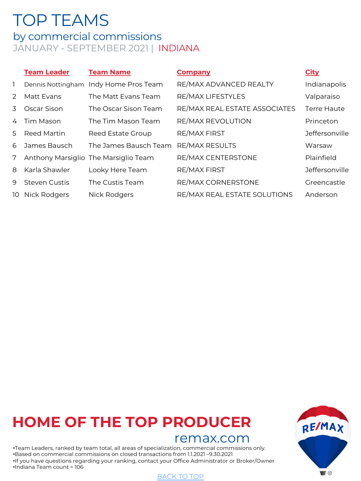## <span id="page-12-0"></span>TOP TEAMS

by commercial commissions JANUARY - SEPTEMBER 2021 | INDIANA

|                |                      |                                      |                               | <b>City</b>        |
|----------------|----------------------|--------------------------------------|-------------------------------|--------------------|
| $\mathbf{1}$   | Dennis Nottingham    | Indy Home Pros Team                  | RE/MAX ADVANCED REALTY        | Indianapolis       |
| $\mathcal{P}$  | Matt Evans           | The Matt Evans Team                  | RE/MAX LIFESTYLES             | Valparaiso         |
| 3              | Oscar Sison          | The Oscar Sison Team                 | RE/MAX REAL ESTATE ASSOCIATES | <b>Terre Haute</b> |
| $\overline{4}$ | Tim Mason            | The Tim Mason Team                   | RE/MAX REVOLUTION             | Princeton          |
| .5             | Reed Martin          | Reed Estate Group                    | <b>RE/MAX FIRST</b>           | Jeffersonville     |
| 6              | James Bausch         | The James Bausch Team                | <b>RE/MAX RESULTS</b>         | Warsaw             |
| 7              |                      | Anthony Marsiglio The Marsiglio Team | RE/MAX CENTERSTONE            | Plainfield         |
| 8              | Karla Shawler        | Looky Here Team                      | <b>RE/MAX FIRST</b>           | Jeffersonville     |
| 9              | <b>Steven Custis</b> | The Custis Team                      | RE/MAX CORNERSTONE            | Greencastle        |
| 10             | Nick Rodgers         | <b>Nick Rodgers</b>                  | RE/MAX REAL ESTATE SOLUTIONS  | Anderson           |

## **HOME OF THE TO[P PROD](#page-0-0)UCER**

## remax.com

•Team Leaders, ranked by team total, all areas of specialization, commercial commissions only. •Based on commercial commissions on closed transactions from 1.1.2021 –9.30.2021 •If you have questions regarding your ranking, contact your Office Administrator or Broker/Owner •Indiana Team count = 106

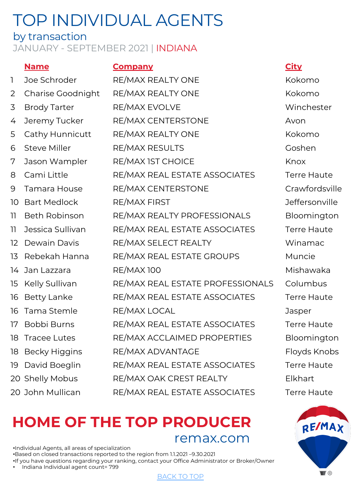## by transaction

## JANUARY - SEPTEMBER 2021 | INDIANA

## **Name Company City**

| $\mathbb{I}$    | Joe Schroder         | RE/MAX REALTY ONE                | Kokomo           |
|-----------------|----------------------|----------------------------------|------------------|
| $\overline{2}$  | Charise Goodnight    | RE/MAX REALTY ONE                | Kokomo           |
| 3               | <b>Brody Tarter</b>  | RE/MAX EVOLVE                    | Winchest         |
| 4               | Jeremy Tucker        | RE/MAX CENTERSTONE               | Avon             |
| 5               | Cathy Hunnicutt      | RE/MAX REALTY ONE                | Kokomo           |
| 6               | <b>Steve Miller</b>  | RE/MAX RESULTS                   | Goshen           |
| 7               | Jason Wampler        | RE/MAX IST CHOICE                | Knox             |
| 8               | Cami Little          | RE/MAX REAL ESTATE ASSOCIATES    | <b>Terre Hau</b> |
| 9               | Tamara House         | RE/MAX CENTERSTONE               | Crawfords        |
| 10              | <b>Bart Medlock</b>  | <b>RE/MAX FIRST</b>              | <b>Jefferson</b> |
| 11              | <b>Beth Robinson</b> | RE/MAX REALTY PROFESSIONALS      | Blooming         |
| 11              | Jessica Sullivan     | RE/MAX REAL ESTATE ASSOCIATES    | <b>Terre Hau</b> |
| 12 <sup>°</sup> | Dewain Davis         | RE/MAX SELECT REALTY             | Winamac          |
| 13              | Rebekah Hanna        | RE/MAX REAL ESTATE GROUPS        | Muncie           |
|                 | 14 Jan Lazzara       | <b>RE/MAX100</b>                 | Mishawak         |
| 15 <sub>2</sub> | Kelly Sullivan       | RE/MAX REAL ESTATE PROFESSIONALS | Columbus         |
| 16              | <b>Betty Lanke</b>   | RE/MAX REAL ESTATE ASSOCIATES    | <b>Terre Hau</b> |
| 16              | Tama Stemle          | RE/MAX LOCAL                     | Jasper           |
| 17              | Bobbi Burns          | RE/MAX REAL ESTATE ASSOCIATES    | <b>Terre Hau</b> |
| 18              | <b>Tracee Lutes</b>  | RE/MAX ACCLAIMED PROPERTIES      | Blooming         |
| 18              | <b>Becky Higgins</b> | RE/MAX ADVANTAGE                 | Floyds Kn        |
| 19              | David Boeglin        | RE/MAX REAL ESTATE ASSOCIATES    | <b>Terre Hau</b> |
|                 | 20 Shelly Mobus      | RE/MAX OAK CREST REALTY          | Elkhart          |
|                 | 20 John Mullican     | RE/MAX REAL ESTATE ASSOCIATES    | Terre Hau        |
|                 |                      |                                  |                  |

## **HOME OF THE TO[P PROD](#page-0-0)UCER** remax.com

•Individual Agents, all areas of specialization •Based on closed transactions reported to the region from 1.1.2021 –9.30.2021 •If you have questions regarding your ranking, contact your Office Administrator or Broker/Owner • Indiana Individual agent count= 799

<span id="page-13-0"></span>Winchester SSOCIATES Terre Haute Crawfordsville **Jeffersonville** SSIONALS Bloomington SSOCIATES Terre Haute Mishawaka ROFESSIONALS Columbus SSOCIATES Terre Haute SSOCIATES Terre Haute OPERTIES Bloomington Floyds Knobs SSOCIATES Terre Haute SSOCIATES Terre Haute

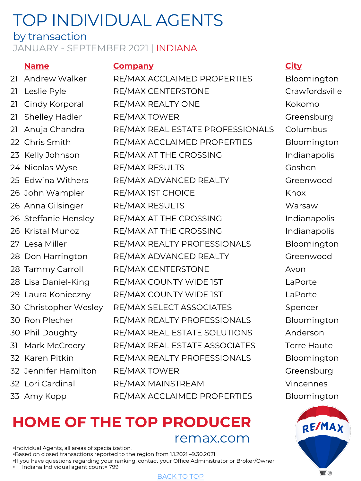## by transaction

## JANUARY - SEPTEMBER 2021 | INDIANA

## **Name Company City**

21 Andrew Walker RE/MAX ACCLAIMED PROPERTIES Bloomington 21 Leslie Pyle RE/MAX CENTERSTONE Crawfordsville 21 Cindy Korporal RE/MAX REALTY ONE Kokomo 21 Shelley Hadler RE/MAX TOWER Greensburg 21 Anuja Chandra RE/MAX REAL ESTATE PROFESSIONALS Columbus 22 Chris Smith RE/MAX ACCLAIMED PROPERTIES Bloomington 23 Kelly Johnson RE/MAX AT THE CROSSING Indianapolis 24 Nicolas Wyse RE/MAX RESULTS Coshen 25 Edwina Withers RE/MAX ADVANCED REALTY Greenwood 26 John Wampler RE/MAX IST CHOICE Knox 26 Anna Gilsinger RE/MAX RESULTS Warsaw 26 Steffanie Hensley RE/MAX AT THE CROSSING Indianapolis 26 Kristal Munoz RE/MAX AT THE CROSSING THE RELATION Indianapolis 27 Lesa Miller RE/MAX REALTY PROFESSIONALS Bloomington 28 Don Harrington RE/MAX ADVANCED REALTY Greenwood 28 Tammy Carroll RE/MAX CENTERSTONE Avon 28 Lisa Daniel-King RE/MAX COUNTY WIDE 1ST LaPorte 29 Laura Konieczny RE/MAX COUNTY WIDE 1ST LaPorte 30 Christopher Wesley RE/MAX SELECT ASSOCIATES Spencer 30 Ron Plecher RE/MAX REALTY PROFESSIONALS Bloomington 30 Phil Doughty RE/MAX REAL ESTATE SOLUTIONS Anderson 31 Mark McCreery RE/MAX REAL ESTATE ASSOCIATES Terre Haute 32 Karen Pitkin **RE/MAX REALTY PROFESSIONALS** Bloomington 32 Jennifer Hamilton RE/MAX TOWER Greensburg 32 Lori Cardinal RE/MAX MAINSTREAM Vincennes 33 Amy Kopp RE/MAX ACCLAIMED PROPERTIES Bloomington

## **HOME OF THE TO[P PROD](#page-0-0)UCER** remax.com

•Individual Agents, all areas of specialization. •Based on closed transactions reported to the region from 1.1.2021 –9.30.2021 •If you have questions regarding your ranking, contact your Office Administrator or Broker/Owner • Indiana Individual agent count= 799

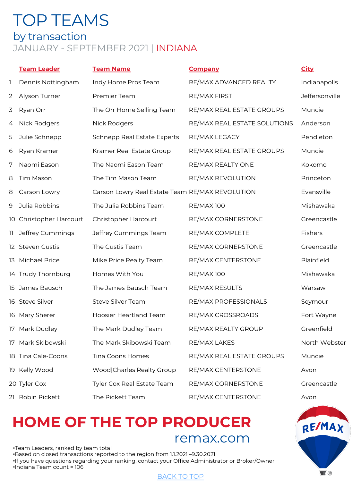## <span id="page-15-0"></span>TOP TEAMS by transaction JANUARY - SEPTEMBER 2021 | INDIANA

|    | <b>Team Leader</b>      | <b>Team Name</b>                                | <b>Company</b>               | <b>City</b>    |
|----|-------------------------|-------------------------------------------------|------------------------------|----------------|
| 1  | Dennis Nottingham       | Indy Home Pros Team                             | RE/MAX ADVANCED REALTY       | Indianapolis   |
| 2  | Alyson Turner           | Premier Team                                    | RE/MAX FIRST                 | Jeffersonville |
| 3  | Ryan Orr                | The Orr Home Selling Team                       | RE/MAX REAL ESTATE GROUPS    | Muncie         |
| 4  | Nick Rodgers            | Nick Rodgers                                    | RE/MAX REAL ESTATE SOLUTIONS | Anderson       |
| 5  | Julie Schnepp           | <b>Schnepp Real Estate Experts</b>              | RE/MAX LEGACY                | Pendleton      |
| 6  | Ryan Kramer             | Kramer Real Estate Group                        | RE/MAX REAL ESTATE GROUPS    | Muncie         |
| 7  | Naomi Eason             | The Naomi Eason Team                            | RE/MAX REALTY ONE            | Kokomo         |
| 8  | Tim Mason               | The Tim Mason Team                              | RE/MAX REVOLUTION            | Princeton      |
| 8  | Carson Lowry            | Carson Lowry Real Estate Team RE/MAX REVOLUTION |                              | Evansville     |
| 9  | Julia Robbins           | The Julia Robbins Team                          | <b>RE/MAX100</b>             | Mishawaka      |
|    | 10 Christopher Harcourt | Christopher Harcourt                            | RE/MAX CORNERSTONE           | Greencastle    |
| H. | Jeffrey Cummings        | Jeffrey Cummings Team                           | RE/MAX COMPLETE              | <b>Fishers</b> |
|    | 12 Steven Custis        | The Custis Team                                 | RE/MAX CORNERSTONE           | Greencastle    |
|    | 13 Michael Price        | Mike Price Realty Team                          | RE/MAX CENTERSTONE           | Plainfield     |
|    | 14 Trudy Thornburg      | Homes With You                                  | <b>RE/MAX100</b>             | Mishawaka      |
|    | 15 James Bausch         | The James Bausch Team                           | RE/MAX RESULTS               | Warsaw         |
|    | 16 Steve Silver         | Steve Silver Team                               | RE/MAX PROFESSIONALS         | Seymour        |
|    | 16 Mary Sherer          | Hoosier Heartland Team                          | RE/MAX CROSSROADS            | Fort Wayne     |
|    | 17 Mark Dudley          | The Mark Dudley Team                            | RE/MAX REALTY GROUP          | Greenfield     |
|    | 17 Mark Skibowski       | The Mark Skibowski Team                         | RE/MAX LAKES                 | North Webster  |
|    | 18 Tina Cale-Coons      | Tina Coons Homes                                | RE/MAX REAL ESTATE GROUPS    | Muncie         |
|    | 19 Kelly Wood           | Wood Charles Realty Group                       | RE/MAX CENTERSTONE           | Avon           |
|    | 20 Tyler Cox            | Tyler Cox Real Estate Team                      | RE/MAX CORNERSTONE           | Greencastle    |
|    | 21 Robin Pickett        | The Pickett Team                                | RE/MAX CENTERSTONE           | Avon           |

## **HOME OF THE TO[P PROD](#page-0-0)UCER** remax.com

•Team Leaders, ranked by team total •Based on closed transactions reported to the region from 1.1.2021 –9.30.2021 •If you have questions regarding your ranking, contact your Office Administrator or Broker/Owner •Indiana Team count = 106

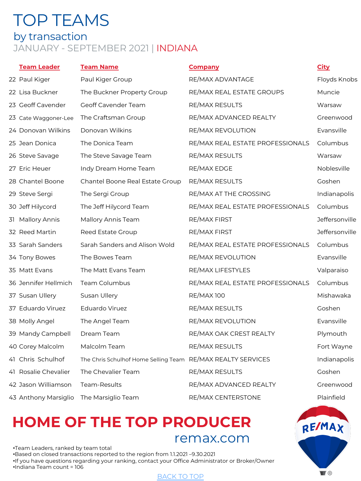## TOP TEAMS by transaction JANUARY - SEPTEMBER 2021 | INDIANA

| <b>Team Leader</b>   | <b>Team Name</b>                                            | <b>Company</b>                   | <b>City</b>           |
|----------------------|-------------------------------------------------------------|----------------------------------|-----------------------|
| 22 Paul Kiger        | Paul Kiger Group                                            | RE/MAX ADVANTAGE                 | Floyds Knobs          |
| 22 Lisa Buckner      | The Buckner Property Group                                  | RE/MAX REAL ESTATE GROUPS        | Muncie                |
| 23 Geoff Cavender    | Geoff Cavender Team                                         | RE/MAX RESULTS                   | Warsaw                |
| 23 Cate Waggoner-Lee | The Craftsman Group                                         | RE/MAX ADVANCED REALTY           | Greenwood             |
| 24 Donovan Wilkins   | Donovan Wilkins                                             | RE/MAX REVOLUTION                | Evansville            |
| 25 Jean Donica       | The Donica Team                                             | RE/MAX REAL ESTATE PROFESSIONALS | Columbus              |
| 26 Steve Savage      | The Steve Savage Team                                       | RE/MAX RESULTS                   | Warsaw                |
| 27 Eric Heuer        | Indy Dream Home Team                                        | RE/MAX EDGE                      | Noblesville           |
| 28 Chantel Boone     | Chantel Boone Real Estate Group                             | RE/MAX RESULTS                   | Goshen                |
| 29 Steve Sergi       | The Sergi Group                                             | RE/MAX AT THE CROSSING           | Indianapolis          |
| 30 Jeff Hilycord     | The Jeff Hilycord Team                                      | RE/MAX REAL ESTATE PROFESSIONALS | Columbus              |
| 31 Mallory Annis     | Mallory Annis Team                                          | RE/MAX FIRST                     | <b>Jeffersonville</b> |
| 32 Reed Martin       | Reed Estate Group                                           | RE/MAX FIRST                     | Jeffersonville        |
| 33 Sarah Sanders     | Sarah Sanders and Alison Wold                               | RE/MAX REAL ESTATE PROFESSIONALS | Columbus              |
| 34 Tony Bowes        | The Bowes Team                                              | RE/MAX REVOLUTION                | Evansville            |
| 35 Matt Evans        | The Matt Evans Team                                         | RE/MAX LIFESTYLES                | Valparaiso            |
| 36 Jennifer Hellmich | Team Columbus                                               | RE/MAX REAL ESTATE PROFESSIONALS | Columbus              |
| 37 Susan Ullery      | Susan Ullery                                                | <b>RE/MAX100</b>                 | Mishawaka             |
| 37 Eduardo Viruez    | Eduardo Viruez                                              | RE/MAX RESULTS                   | Goshen                |
| 38 Molly Angel       | The Angel Team                                              | RE/MAX REVOLUTION                | Evansville            |
| 39 Mandy Campbell    | Dream Team                                                  | RE/MAX OAK CREST REALTY          | Plymouth              |
| 40 Corey Malcolm     | Malcolm Team                                                | RE/MAX RESULTS                   | Fort Wayne            |
| 41 Chris Schulhof    | The Chris Schulhof Home Selling Team RE/MAX REALTY SERVICES |                                  | Indianapolis          |
| 41 Rosalie Chevalier | The Chevalier Team                                          | RE/MAX RESULTS                   | Goshen                |
| 42 Jason Williamson  | Team-Results                                                | RE/MAX ADVANCED REALTY           | Greenwood             |
| 43 Anthony Marsiglio | The Marsiglio Team                                          | RE/MAX CENTERSTONE               | Plainfield            |

## **HOME OF THE TO[P PROD](#page-0-0)UCER** remax.com

•Team Leaders, ranked by team total •Based on closed transactions reported to the region from 1.1.2021 –9.30.2021 •If you have questions regarding your ranking, contact your Office Administrator or Broker/Owner •Indiana Team count = 106